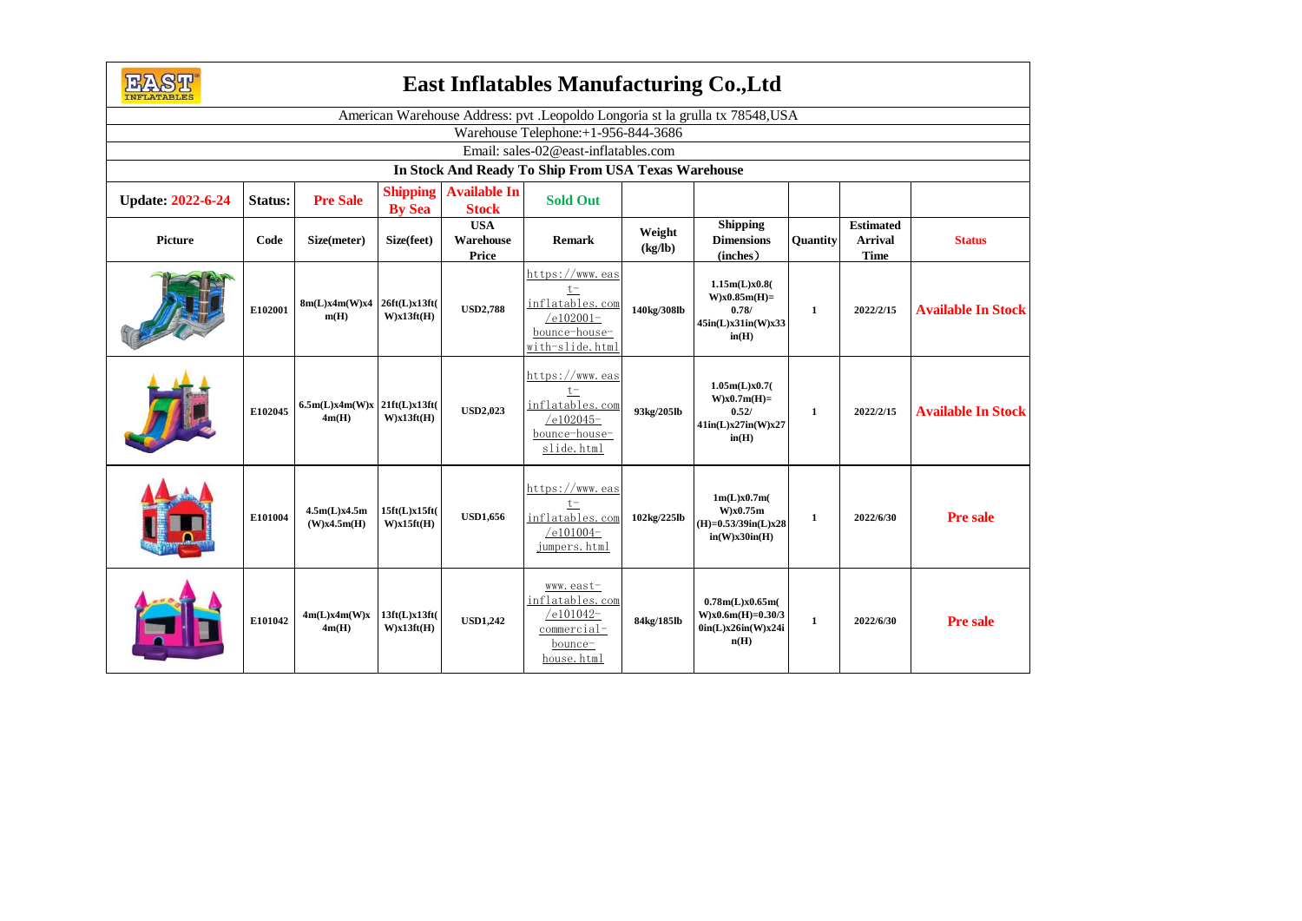

## **East Inflatables Manufacturing Co.,Ltd**

| <b>TIME THAT APPLIED</b>                                                      |         |                                         |                                  |                                     |                                                                                                |                   |                                                                              |                 |                                                   |                           |
|-------------------------------------------------------------------------------|---------|-----------------------------------------|----------------------------------|-------------------------------------|------------------------------------------------------------------------------------------------|-------------------|------------------------------------------------------------------------------|-----------------|---------------------------------------------------|---------------------------|
| American Warehouse Address: pvt .Leopoldo Longoria st la grulla tx 78548, USA |         |                                         |                                  |                                     |                                                                                                |                   |                                                                              |                 |                                                   |                           |
| Warehouse Telephone:+1-956-844-3686                                           |         |                                         |                                  |                                     |                                                                                                |                   |                                                                              |                 |                                                   |                           |
| Email: sales-02@east-inflatables.com                                          |         |                                         |                                  |                                     |                                                                                                |                   |                                                                              |                 |                                                   |                           |
| In Stock And Ready To Ship From USA Texas Warehouse                           |         |                                         |                                  |                                     |                                                                                                |                   |                                                                              |                 |                                                   |                           |
| <b>Update: 2022-6-24</b>                                                      | Status: | <b>Pre Sale</b>                         | <b>Shipping</b><br><b>By Sea</b> | <b>Available In</b><br><b>Stock</b> | <b>Sold Out</b>                                                                                |                   |                                                                              |                 |                                                   |                           |
| Picture                                                                       | Code    | Size(meter)                             | Size(feet)                       | <b>USA</b><br>Warehouse<br>Price    | <b>Remark</b>                                                                                  | Weight<br>(kg/lb) | <b>Shipping</b><br><b>Dimensions</b><br>(inches)                             | <b>Ouantity</b> | <b>Estimated</b><br><b>Arrival</b><br><b>Time</b> | <b>Status</b>             |
|                                                                               | E102001 | 8m(L)x4m(W)x4<br>m(H)                   | 26ft(L)x13ft(<br>W)x13ft(H)      | <b>USD2,788</b>                     | https://www.eas<br>$t -$<br>inflatables.com<br>$/e102001-$<br>bounce-house-<br>with-slide.html | 140kg/308lb       | 1.15m(L)x0.8(<br>$W$ )x $0.85m(H)$ =<br>0.78/<br>45in(L)x31in(W)x33<br>in(H) | 1               | 2022/2/15                                         | <b>Available In Stock</b> |
|                                                                               | E102045 | $6.5m(L)x4m(W)x$ 21ft(L)x13ft(<br>4m(H) | W)x13ft(H)                       | <b>USD2,023</b>                     | https://www.eas<br>$t-$<br>inflatables.com<br>$/e102045-$<br>bounce-house-<br>slide.html       | 93kg/205lb        | 1.05m(L)x0.7(<br>$W$ )x $0.7m$ (H)=<br>0.52/<br>41in(L)x27in(W)x27<br>in(H)  | 1               | 2022/2/15                                         | <b>Available In Stock</b> |
|                                                                               | E101004 | 4.5m(L)x4.5m<br>(W)x4.5m(H)             | 15ft(L)x15ft(<br>W)x15ft(H)      | <b>USD1,656</b>                     | https://www.eas<br>$t -$<br>inflatables.com<br>$/e101004-$<br>jumpers.html                     | 102kg/225lb       | 1m(L)x0.7m(<br>$W$ $x0.75m$<br>$(H)=0.53/39$ in(L)x28<br>in(W)x30in(H)       | 1               | 2022/6/30                                         | <b>Pre sale</b>           |
|                                                                               | E101042 | 4m(L)x4m(W)x<br>4m(H)                   | 13ft(L)x13ft(<br>W)x13ft(H)      | <b>USD1,242</b>                     | www.east-<br>inflatables.com<br>$/e101042-$<br>commercial-<br>bounce-<br>house.html            | 84kg/185lb        | 0.78m(L)x0.65m(<br>$W$ )x $0.6$ m(H)= $0.30/3$<br>0in(L)x26in(W)x24i<br>n(H) | 1               | 2022/6/30                                         | <b>Pre sale</b>           |